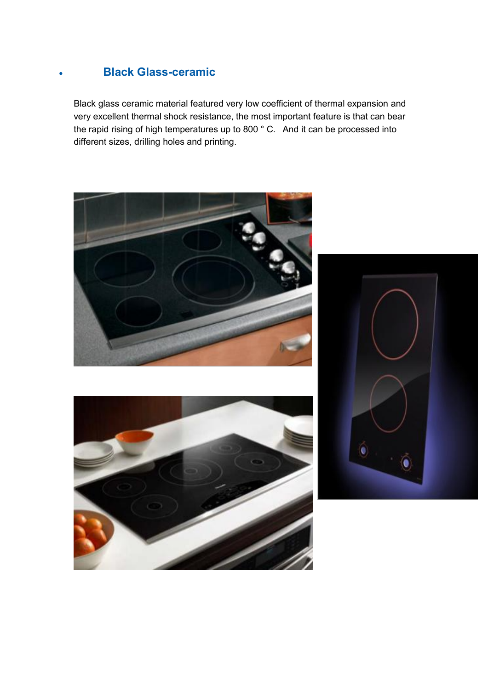## **Black Glass-ceramic**

Black glass ceramic material featured very low coefficient of thermal expansion and very excellent thermal shock resistance, the most important feature is that can bear the rapid rising of high temperatures up to 800 ° C. And it can be processed into different sizes, drilling holes and printing.





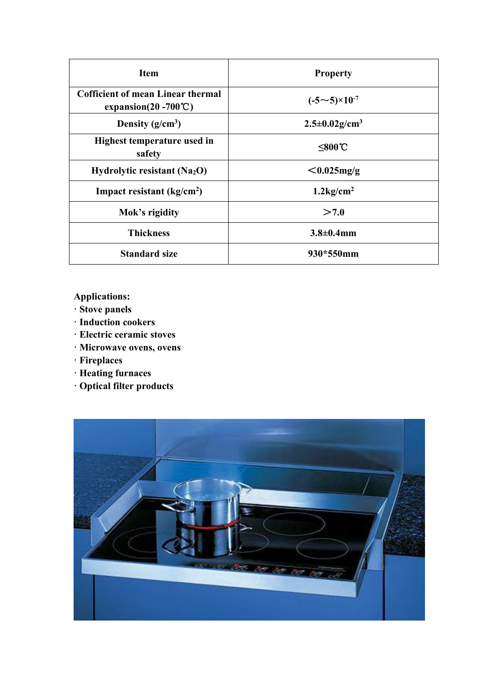| <b>Item</b>                                                                  | <b>Property</b>                  |
|------------------------------------------------------------------------------|----------------------------------|
| <b>Cofficient of mean Linear thermal</b><br>expansion( $20 - 700^{\circ}$ C) | $(-5{\sim}5){\times}10^{-7}$     |
| Density $(g/cm^3)$                                                           | $2.5 \pm 0.02$ g/cm <sup>3</sup> |
| Highest temperature used in<br>safety                                        | $≤800$ °C                        |
| Hydrolytic resistant (Na <sub>2</sub> O)                                     | $< 0.025$ mg/g                   |
| Impact resistant $(kg/cm2)$                                                  | $1.2$ kg/cm <sup>2</sup>         |
| Mok's rigidity                                                               | >7.0                             |
| <b>Thickness</b>                                                             | $3.8 \pm 0.4$ mm                 |
| <b>Standard size</b>                                                         | 930*550mm                        |
|                                                                              |                                  |

## **Applications:**

- **· Stove panels**
- **· Induction cookers**
- **· Electric ceramic stoves**
- **· Microwave ovens, ovens**
- **· Fireplaces**
- **· Heating furnaces**
- **· Optical filter products**

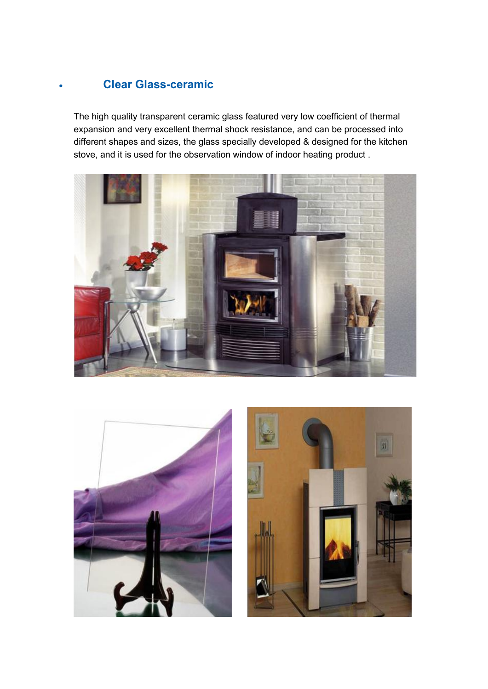## **Clear Glass-ceramic**

The high quality transparent ceramic glass featured very low coefficient of thermal expansion and very excellent thermal shock resistance, and can be processed into different shapes and sizes, the glass specially developed & designed for the kitchen stove, and it is used for the observation window of indoor heating product .